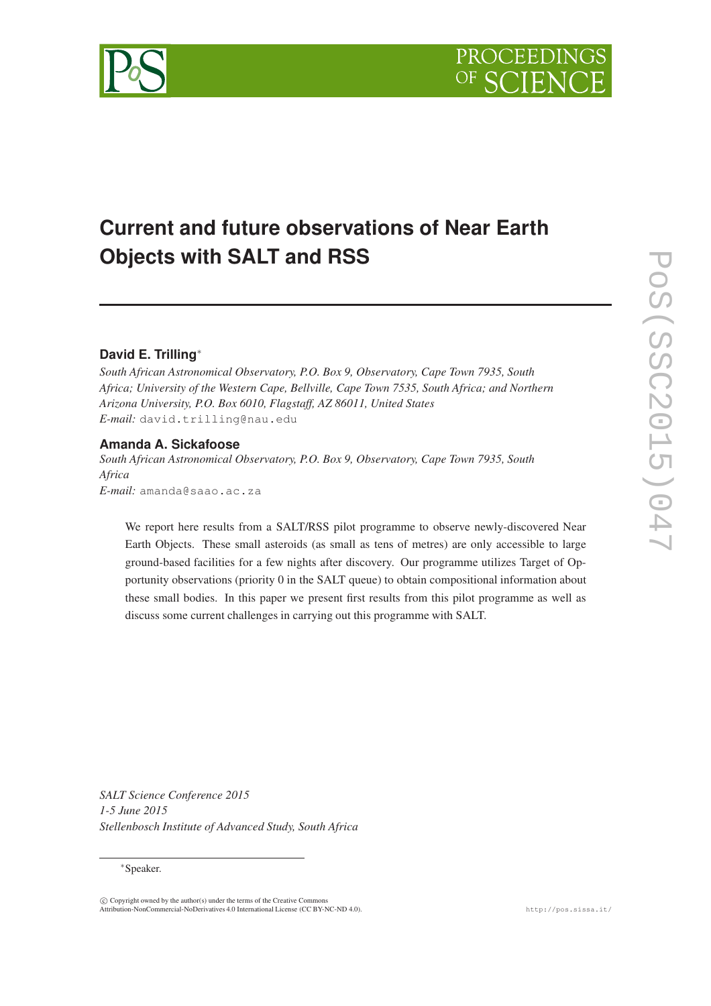# **Current and future observations of Near Earth Objects with SALT and RSS**

# **David E. Trilling** ∗

*South African Astronomical Observatory, P.O. Box 9, Observatory, Cape Town 7935, South Africa; University of the Western Cape, Bellville, Cape Town 7535, South Africa; and Northern Arizona University, P.O. Box 6010, Flagstaff, AZ 86011, United States E-mail:* david.trilling@nau.edu

## **Amanda A. Sickafoose**

*South African Astronomical Observatory, P.O. Box 9, Observatory, Cape Town 7935, South Africa E-mail:* amanda@saao.ac.za

We report here results from a SALT/RSS pilot programme to observe newly-discovered Near Earth Objects. These small asteroids (as small as tens of metres) are only accessible to large ground-based facilities for a few nights after discovery. Our programme utilizes Target of Opportunity observations (priority 0 in the SALT queue) to obtain compositional information about these small bodies. In this paper we present first results from this pilot programme as well as discuss some current challenges in carrying out this programme with SALT.

*SALT Science Conference 2015 1-5 June 2015 Stellenbosch Institute of Advanced Study, South Africa*

<sup>∗</sup>Speaker.

 $\langle \hat{c} \rangle$  Copyright owned by the author(s) under the terms of the Creative Commons Attribution-NonCommercial-NoDerivatives 4.0 International License (CC BY-NC-ND 4.0). http://pos.sissa.it/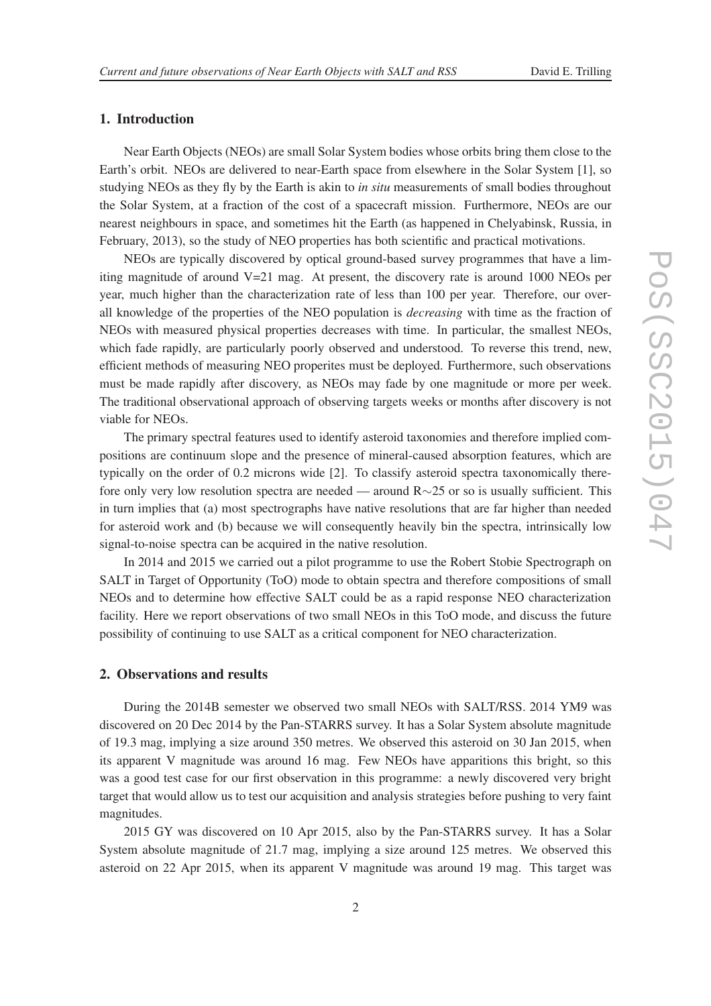### 1. Introduction

Near Earth Objects (NEOs) are small Solar System bodies whose orbits bring them close to the Earth's orbit. NEOs are delivered to near-Earth space from elsewhere in the Solar System [1], so studying NEOs as they fly by the Earth is akin to *in situ* measurements of small bodies throughout the Solar System, at a fraction of the cost of a spacecraft mission. Furthermore, NEOs are our nearest neighbours in space, and sometimes hit the Earth (as happened in Chelyabinsk, Russia, in February, 2013), so the study of NEO properties has both scientific and practical motivations.

NEOs are typically discovered by optical ground-based survey programmes that have a limiting magnitude of around  $V=21$  mag. At present, the discovery rate is around 1000 NEOs per year, much higher than the characterization rate of less than 100 per year. Therefore, our overall knowledge of the properties of the NEO population is *decreasing* with time as the fraction of NEOs with measured physical properties decreases with time. In particular, the smallest NEOs, which fade rapidly, are particularly poorly observed and understood. To reverse this trend, new, efficient methods of measuring NEO properites must be deployed. Furthermore, such observations must be made rapidly after discovery, as NEOs may fade by one magnitude or more per week. The traditional observational approach of observing targets weeks or months after discovery is not viable for NEOs.

The primary spectral features used to identify asteroid taxonomies and therefore implied compositions are continuum slope and the presence of mineral-caused absorption features, which are typically on the order of 0.2 microns wide [2]. To classify asteroid spectra taxonomically therefore only very low resolution spectra are needed — around R∼25 or so is usually sufficient. This in turn implies that (a) most spectrographs have native resolutions that are far higher than needed for asteroid work and (b) because we will consequently heavily bin the spectra, intrinsically low signal-to-noise spectra can be acquired in the native resolution.

In 2014 and 2015 we carried out a pilot programme to use the Robert Stobie Spectrograph on SALT in Target of Opportunity (ToO) mode to obtain spectra and therefore compositions of small NEOs and to determine how effective SALT could be as a rapid response NEO characterization facility. Here we report observations of two small NEOs in this ToO mode, and discuss the future possibility of continuing to use SALT as a critical component for NEO characterization.

### 2. Observations and results

During the 2014B semester we observed two small NEOs with SALT/RSS. 2014 YM9 was discovered on 20 Dec 2014 by the Pan-STARRS survey. It has a Solar System absolute magnitude of 19.3 mag, implying a size around 350 metres. We observed this asteroid on 30 Jan 2015, when its apparent V magnitude was around 16 mag. Few NEOs have apparitions this bright, so this was a good test case for our first observation in this programme: a newly discovered very bright target that would allow us to test our acquisition and analysis strategies before pushing to very faint magnitudes.

2015 GY was discovered on 10 Apr 2015, also by the Pan-STARRS survey. It has a Solar System absolute magnitude of 21.7 mag, implying a size around 125 metres. We observed this asteroid on 22 Apr 2015, when its apparent V magnitude was around 19 mag. This target was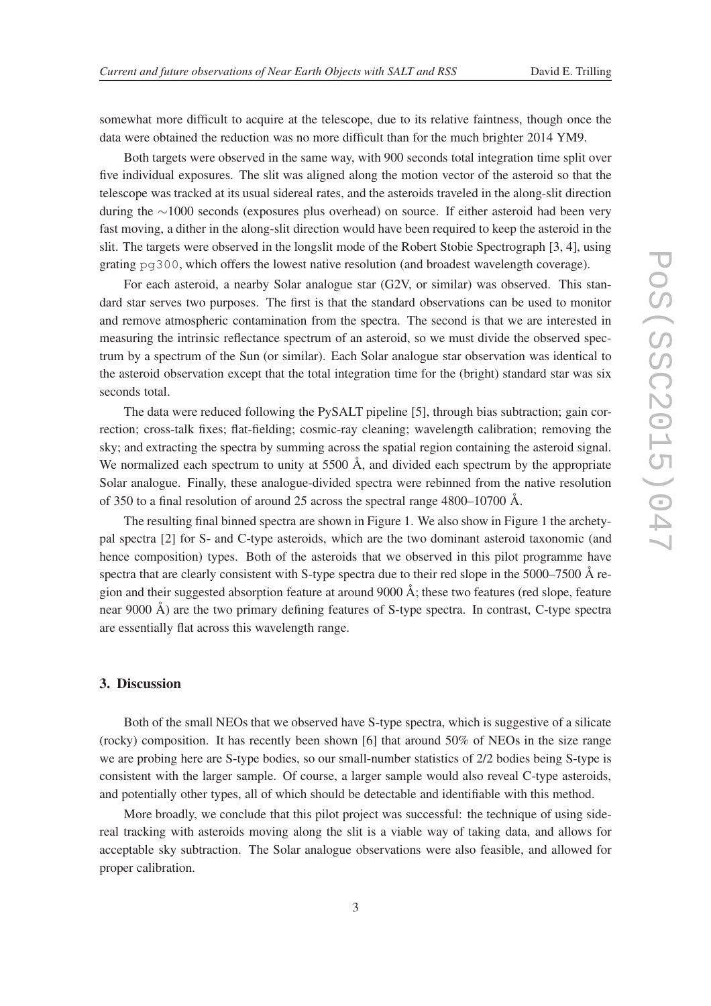somewhat more difficult to acquire at the telescope, due to its relative faintness, though once the data were obtained the reduction was no more difficult than for the much brighter 2014 YM9.

Both targets were observed in the same way, with 900 seconds total integration time split over five individual exposures. The slit was aligned along the motion vector of the asteroid so that the telescope was tracked at its usual sidereal rates, and the asteroids traveled in the along-slit direction during the ∼1000 seconds (exposures plus overhead) on source. If either asteroid had been very fast moving, a dither in the along-slit direction would have been required to keep the asteroid in the slit. The targets were observed in the longslit mode of the Robert Stobie Spectrograph [3, 4], using grating pg300, which offers the lowest native resolution (and broadest wavelength coverage).

For each asteroid, a nearby Solar analogue star (G2V, or similar) was observed. This standard star serves two purposes. The first is that the standard observations can be used to monitor and remove atmospheric contamination from the spectra. The second is that we are interested in measuring the intrinsic reflectance spectrum of an asteroid, so we must divide the observed spectrum by a spectrum of the Sun (or similar). Each Solar analogue star observation was identical to the asteroid observation except that the total integration time for the (bright) standard star was six seconds total.

The data were reduced following the PySALT pipeline [5], through bias subtraction; gain correction; cross-talk fixes; flat-fielding; cosmic-ray cleaning; wavelength calibration; removing the sky; and extracting the spectra by summing across the spatial region containing the asteroid signal. We normalized each spectrum to unity at  $5500 \text{ Å}$ , and divided each spectrum by the appropriate Solar analogue. Finally, these analogue-divided spectra were rebinned from the native resolution of 350 to a final resolution of around 25 across the spectral range 4800–10700 Å.

The resulting final binned spectra are shown in Figure 1. We also show in Figure 1 the archetypal spectra [2] for S- and C-type asteroids, which are the two dominant asteroid taxonomic (and hence composition) types. Both of the asteroids that we observed in this pilot programme have spectra that are clearly consistent with S-type spectra due to their red slope in the 5000–7500 Å region and their suggested absorption feature at around 9000 Å; these two features (red slope, feature near 9000 Å) are the two primary defining features of S-type spectra. In contrast, C-type spectra are essentially flat across this wavelength range.

### 3. Discussion

Both of the small NEOs that we observed have S-type spectra, which is suggestive of a silicate (rocky) composition. It has recently been shown [6] that around 50% of NEOs in the size range we are probing here are S-type bodies, so our small-number statistics of 2/2 bodies being S-type is consistent with the larger sample. Of course, a larger sample would also reveal C-type asteroids, and potentially other types, all of which should be detectable and identifiable with this method.

More broadly, we conclude that this pilot project was successful: the technique of using sidereal tracking with asteroids moving along the slit is a viable way of taking data, and allows for acceptable sky subtraction. The Solar analogue observations were also feasible, and allowed for proper calibration.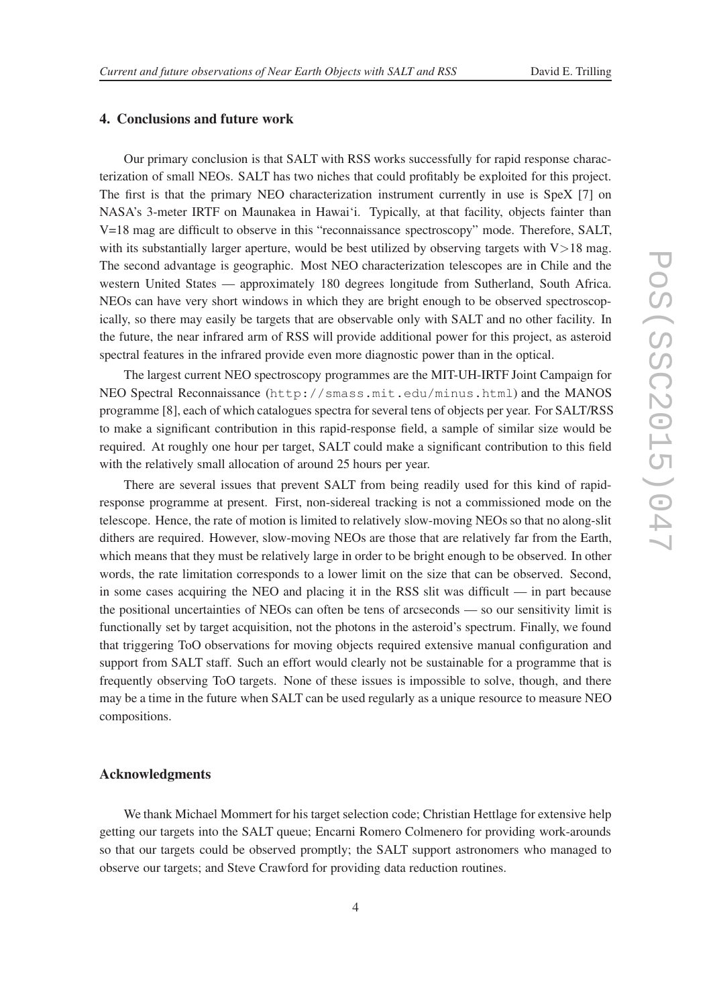### 4. Conclusions and future work

Our primary conclusion is that SALT with RSS works successfully for rapid response characterization of small NEOs. SALT has two niches that could profitably be exploited for this project. The first is that the primary NEO characterization instrument currently in use is SpeX [7] on NASA's 3-meter IRTF on Maunakea in Hawai'i. Typically, at that facility, objects fainter than V=18 mag are difficult to observe in this "reconnaissance spectroscopy" mode. Therefore, SALT, with its substantially larger aperture, would be best utilized by observing targets with  $V > 18$  mag. The second advantage is geographic. Most NEO characterization telescopes are in Chile and the western United States — approximately 180 degrees longitude from Sutherland, South Africa. NEOs can have very short windows in which they are bright enough to be observed spectroscopically, so there may easily be targets that are observable only with SALT and no other facility. In the future, the near infrared arm of RSS will provide additional power for this project, as asteroid spectral features in the infrared provide even more diagnostic power than in the optical.

The largest current NEO spectroscopy programmes are the MIT-UH-IRTF Joint Campaign for NEO Spectral Reconnaissance (http://smass.mit.edu/minus.html) and the MANOS programme [8], each of which catalogues spectra for several tens of objects per year. For SALT/RSS to make a significant contribution in this rapid-response field, a sample of similar size would be required. At roughly one hour per target, SALT could make a significant contribution to this field with the relatively small allocation of around 25 hours per year.

There are several issues that prevent SALT from being readily used for this kind of rapidresponse programme at present. First, non-sidereal tracking is not a commissioned mode on the telescope. Hence, the rate of motion is limited to relatively slow-moving NEOs so that no along-slit dithers are required. However, slow-moving NEOs are those that are relatively far from the Earth, which means that they must be relatively large in order to be bright enough to be observed. In other words, the rate limitation corresponds to a lower limit on the size that can be observed. Second, in some cases acquiring the NEO and placing it in the RSS slit was difficult — in part because the positional uncertainties of NEOs can often be tens of arcseconds — so our sensitivity limit is functionally set by target acquisition, not the photons in the asteroid's spectrum. Finally, we found that triggering ToO observations for moving objects required extensive manual configuration and support from SALT staff. Such an effort would clearly not be sustainable for a programme that is frequently observing ToO targets. None of these issues is impossible to solve, though, and there may be a time in the future when SALT can be used regularly as a unique resource to measure NEO compositions.

### Acknowledgments

We thank Michael Mommert for his target selection code; Christian Hettlage for extensive help getting our targets into the SALT queue; Encarni Romero Colmenero for providing work-arounds so that our targets could be observed promptly; the SALT support astronomers who managed to observe our targets; and Steve Crawford for providing data reduction routines.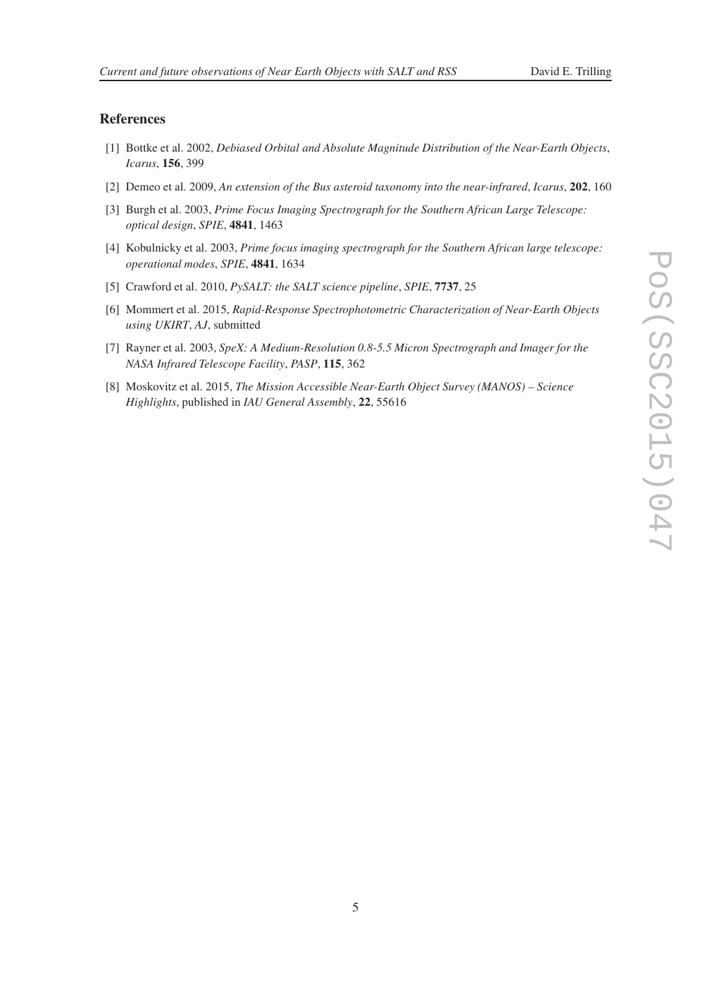### References

- [1] Bottke et al. 2002, *Debiased Orbital and Absolute Magnitude Distribution of the Near-Earth Objects* , *Icarus* , 156, 399
- [2] Demeo et al. 2009, *An extension of the Bus asteroid taxonomy into the near-infrared* , *Icarus* , 202, 160
- [3] Burgh et al. 2003, *Prime Focus Imaging Spectrograph for the Southern African Large Telescope: optical design* , *SPIE* , 4841, 1463
- [4] Kobulnicky et al. 2003, *Prime focus imaging spectrograph for the Southern African large telescope: operational modes* , *SPIE* , 4841, 1634
- [5] Crawford et al. 2010, *PySALT: the SALT science pipeline* , *SPIE* , 7737, 25
- [6] Mommert et al. 2015, *Rapid-Response Spectrophotometric Characterization of Near-Earth Objects using UKIRT*, *AJ*, submitted
- [7] Rayner et al. 2003, *SpeX: A Medium-Resolution 0.8-5.5 Micron Spectrograph and Imager for the NASA Infrared Telescope Facility* , *PASP* , 115, 362
- [8] Moskovitz et al. 2015, *The Mission Accessible Near-Earth Object Survey (MANOS) Science Highlights*, published in *IAU General Assembly* , 22, 55616